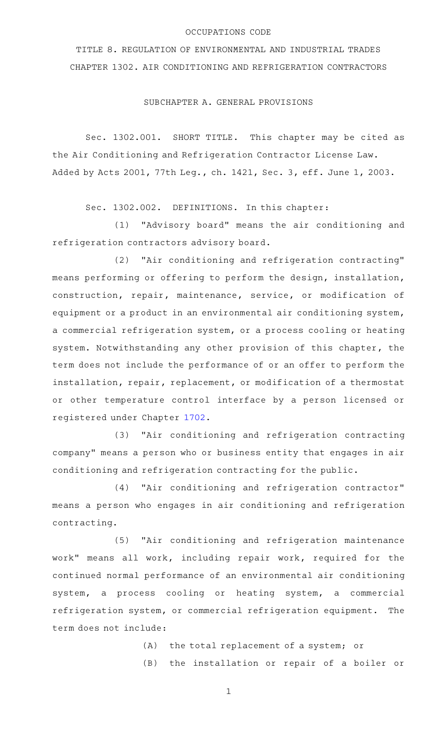# OCCUPATIONS CODE

TITLE 8. REGULATION OF ENVIRONMENTAL AND INDUSTRIAL TRADES CHAPTER 1302. AIR CONDITIONING AND REFRIGERATION CONTRACTORS

SUBCHAPTER A. GENERAL PROVISIONS

Sec. 1302.001. SHORT TITLE. This chapter may be cited as the Air Conditioning and Refrigeration Contractor License Law. Added by Acts 2001, 77th Leg., ch. 1421, Sec. 3, eff. June 1, 2003.

Sec. 1302.002. DEFINITIONS. In this chapter:

(1) "Advisory board" means the air conditioning and refrigeration contractors advisory board.

(2) "Air conditioning and refrigeration contracting" means performing or offering to perform the design, installation, construction, repair, maintenance, service, or modification of equipment or a product in an environmental air conditioning system, a commercial refrigeration system, or a process cooling or heating system. Notwithstanding any other provision of this chapter, the term does not include the performance of or an offer to perform the installation, repair, replacement, or modification of a thermostat or other temperature control interface by a person licensed or registered under Chapter [1702](http://www.statutes.legis.state.tx.us/GetStatute.aspx?Code=OC&Value=1702).

(3) "Air conditioning and refrigeration contracting company" means a person who or business entity that engages in air conditioning and refrigeration contracting for the public.

(4) "Air conditioning and refrigeration contractor" means a person who engages in air conditioning and refrigeration contracting.

(5) "Air conditioning and refrigeration maintenance work" means all work, including repair work, required for the continued normal performance of an environmental air conditioning system, a process cooling or heating system, a commercial refrigeration system, or commercial refrigeration equipment. The term does not include:

(A) the total replacement of a system; or

(B) the installation or repair of a boiler or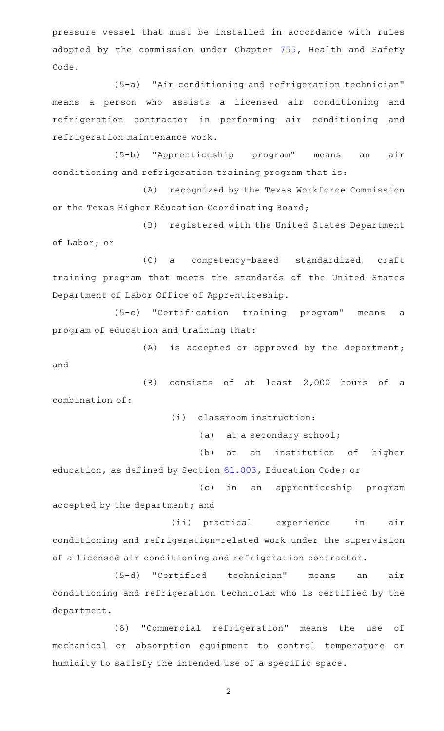pressure vessel that must be installed in accordance with rules adopted by the commission under Chapter [755,](http://www.statutes.legis.state.tx.us/GetStatute.aspx?Code=HS&Value=755) Health and Safety Code.

(5-a) "Air conditioning and refrigeration technician" means a person who assists a licensed air conditioning and refrigeration contractor in performing air conditioning and refrigeration maintenance work.

(5-b) "Apprenticeship program" means an air conditioning and refrigeration training program that is:

(A) recognized by the Texas Workforce Commission or the Texas Higher Education Coordinating Board;

(B) registered with the United States Department of Labor; or

(C) a competency-based standardized craft training program that meets the standards of the United States Department of Labor Office of Apprenticeship.

(5-c) "Certification training program" means a program of education and training that:

 $(A)$  is accepted or approved by the department; and

 $(B)$  consists of at least 2,000 hours of a combination of:

(i) classroom instruction:

(a) at a secondary school;

(b) at an institution of higher education, as defined by Section [61.003,](http://www.statutes.legis.state.tx.us/GetStatute.aspx?Code=ED&Value=61.003) Education Code; or

(c) in an apprenticeship program accepted by the department; and

(ii) practical experience in air conditioning and refrigeration-related work under the supervision of a licensed air conditioning and refrigeration contractor.

(5-d) "Certified technician" means an air conditioning and refrigeration technician who is certified by the department.

(6) "Commercial refrigeration" means the use of mechanical or absorption equipment to control temperature or humidity to satisfy the intended use of a specific space.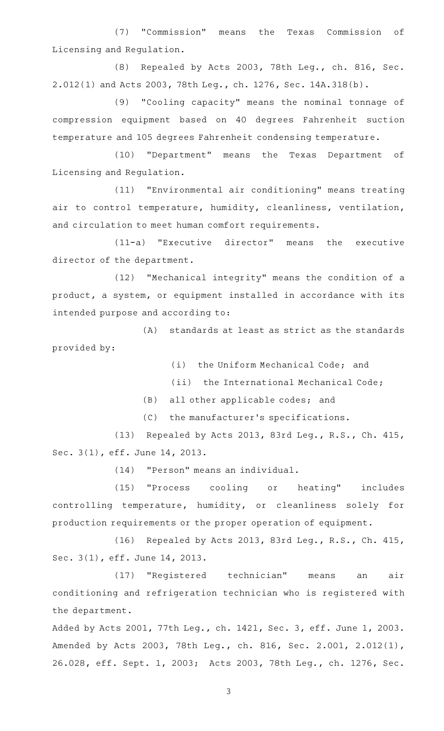(7) "Commission" means the Texas Commission of Licensing and Regulation.

(8) Repealed by Acts 2003, 78th Leg., ch. 816, Sec. 2.012(1) and Acts 2003, 78th Leg., ch. 1276, Sec. 14A.318(b).

(9) "Cooling capacity" means the nominal tonnage of compression equipment based on 40 degrees Fahrenheit suction temperature and 105 degrees Fahrenheit condensing temperature.

(10) "Department" means the Texas Department of Licensing and Regulation.

(11) "Environmental air conditioning" means treating air to control temperature, humidity, cleanliness, ventilation, and circulation to meet human comfort requirements.

 $(11-a)$  "Executive director" means the executive director of the department.

(12) "Mechanical integrity" means the condition of a product, a system, or equipment installed in accordance with its intended purpose and according to:

(A) standards at least as strict as the standards provided by:

(i) the Uniform Mechanical Code; and

(ii) the International Mechanical Code;

(B) all other applicable codes; and

(C) the manufacturer's specifications.

(13) Repealed by Acts 2013, 83rd Leg., R.S., Ch. 415, Sec. 3(1), eff. June 14, 2013.

(14) "Person" means an individual.

(15) "Process cooling or heating" includes controlling temperature, humidity, or cleanliness solely for production requirements or the proper operation of equipment.

(16) Repealed by Acts 2013, 83rd Leg., R.S., Ch. 415, Sec. 3(1), eff. June 14, 2013.

(17) "Registered technician" means an air conditioning and refrigeration technician who is registered with the department.

Added by Acts 2001, 77th Leg., ch. 1421, Sec. 3, eff. June 1, 2003. Amended by Acts 2003, 78th Leg., ch. 816, Sec. 2.001, 2.012(1), 26.028, eff. Sept. 1, 2003; Acts 2003, 78th Leg., ch. 1276, Sec.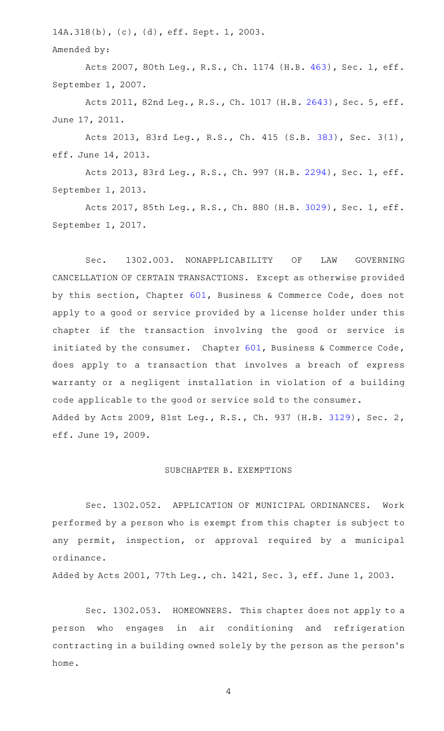14A.318(b), (c), (d), eff. Sept. 1, 2003.

Amended by:

Acts 2007, 80th Leg., R.S., Ch. 1174 (H.B. [463](http://www.legis.state.tx.us/tlodocs/80R/billtext/html/HB00463F.HTM)), Sec. 1, eff. September 1, 2007.

Acts 2011, 82nd Leg., R.S., Ch. 1017 (H.B. [2643](http://www.legis.state.tx.us/tlodocs/82R/billtext/html/HB02643F.HTM)), Sec. 5, eff. June 17, 2011.

Acts 2013, 83rd Leg., R.S., Ch. 415 (S.B. [383](http://www.legis.state.tx.us/tlodocs/83R/billtext/html/SB00383F.HTM)), Sec. 3(1), eff. June 14, 2013.

Acts 2013, 83rd Leg., R.S., Ch. 997 (H.B. [2294](http://www.legis.state.tx.us/tlodocs/83R/billtext/html/HB02294F.HTM)), Sec. 1, eff. September 1, 2013.

Acts 2017, 85th Leg., R.S., Ch. 880 (H.B. [3029](http://www.legis.state.tx.us/tlodocs/85R/billtext/html/HB03029F.HTM)), Sec. 1, eff. September 1, 2017.

Sec. 1302.003. NONAPPLICABILITY OF LAW GOVERNING CANCELLATION OF CERTAIN TRANSACTIONS. Except as otherwise provided by this section, Chapter [601,](http://www.statutes.legis.state.tx.us/GetStatute.aspx?Code=BC&Value=601) Business & Commerce Code, does not apply to a good or service provided by a license holder under this chapter if the transaction involving the good or service is initiated by the consumer. Chapter  $601$ , Business & Commerce Code, does apply to a transaction that involves a breach of express warranty or a negligent installation in violation of a building code applicable to the good or service sold to the consumer. Added by Acts 2009, 81st Leg., R.S., Ch. 937 (H.B. [3129](http://www.legis.state.tx.us/tlodocs/81R/billtext/html/HB03129F.HTM)), Sec. 2, eff. June 19, 2009.

## SUBCHAPTER B. EXEMPTIONS

Sec. 1302.052. APPLICATION OF MUNICIPAL ORDINANCES. Work performed by a person who is exempt from this chapter is subject to any permit, inspection, or approval required by a municipal ordinance.

Added by Acts 2001, 77th Leg., ch. 1421, Sec. 3, eff. June 1, 2003.

Sec. 1302.053. HOMEOWNERS. This chapter does not apply to a person who engages in air conditioning and refrigeration contracting in a building owned solely by the person as the person 's home.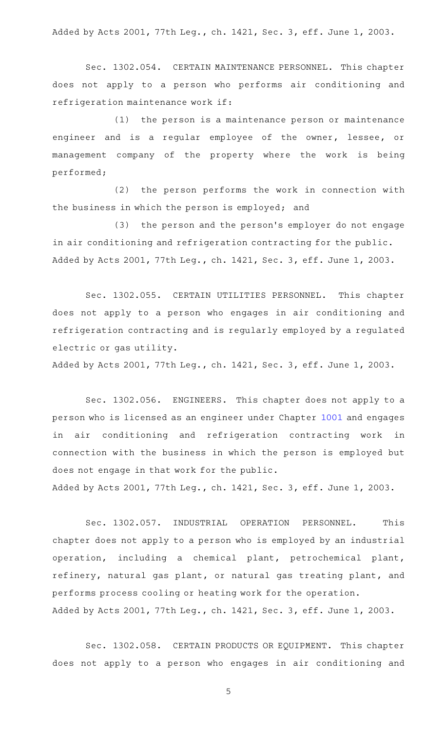Added by Acts 2001, 77th Leg., ch. 1421, Sec. 3, eff. June 1, 2003.

Sec. 1302.054. CERTAIN MAINTENANCE PERSONNEL. This chapter does not apply to a person who performs air conditioning and refrigeration maintenance work if:

 $(1)$  the person is a maintenance person or maintenance engineer and is a regular employee of the owner, lessee, or management company of the property where the work is being performed;

(2) the person performs the work in connection with the business in which the person is employed; and

(3) the person and the person's employer do not engage in air conditioning and refrigeration contracting for the public. Added by Acts 2001, 77th Leg., ch. 1421, Sec. 3, eff. June 1, 2003.

Sec. 1302.055. CERTAIN UTILITIES PERSONNEL. This chapter does not apply to a person who engages in air conditioning and refrigeration contracting and is regularly employed by a regulated electric or gas utility.

Added by Acts 2001, 77th Leg., ch. 1421, Sec. 3, eff. June 1, 2003.

Sec. 1302.056. ENGINEERS. This chapter does not apply to a person who is licensed as an engineer under Chapter [1001](http://www.statutes.legis.state.tx.us/GetStatute.aspx?Code=OC&Value=1001) and engages in air conditioning and refrigeration contracting work in connection with the business in which the person is employed but does not engage in that work for the public.

Added by Acts 2001, 77th Leg., ch. 1421, Sec. 3, eff. June 1, 2003.

Sec. 1302.057. INDUSTRIAL OPERATION PERSONNEL. This chapter does not apply to a person who is employed by an industrial operation, including a chemical plant, petrochemical plant, refinery, natural gas plant, or natural gas treating plant, and performs process cooling or heating work for the operation. Added by Acts 2001, 77th Leg., ch. 1421, Sec. 3, eff. June 1, 2003.

Sec. 1302.058. CERTAIN PRODUCTS OR EQUIPMENT. This chapter does not apply to a person who engages in air conditioning and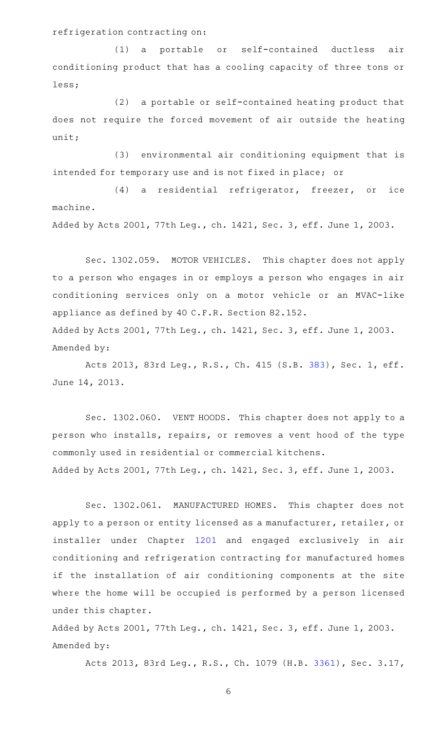refrigeration contracting on:

(1) a portable or self-contained ductless air conditioning product that has a cooling capacity of three tons or less;

 $(2)$  a portable or self-contained heating product that does not require the forced movement of air outside the heating unit;

(3) environmental air conditioning equipment that is intended for temporary use and is not fixed in place; or

(4) a residential refrigerator, freezer, or ice machine.

Added by Acts 2001, 77th Leg., ch. 1421, Sec. 3, eff. June 1, 2003.

Sec. 1302.059. MOTOR VEHICLES. This chapter does not apply to a person who engages in or employs a person who engages in air conditioning services only on a motor vehicle or an MVAC-like appliance as defined by 40 C.F.R. Section 82.152. Added by Acts 2001, 77th Leg., ch. 1421, Sec. 3, eff. June 1, 2003. Amended by:

Acts 2013, 83rd Leg., R.S., Ch. 415 (S.B. [383](http://www.legis.state.tx.us/tlodocs/83R/billtext/html/SB00383F.HTM)), Sec. 1, eff. June 14, 2013.

Sec. 1302.060. VENT HOODS. This chapter does not apply to a person who installs, repairs, or removes a vent hood of the type commonly used in residential or commercial kitchens. Added by Acts 2001, 77th Leg., ch. 1421, Sec. 3, eff. June 1, 2003.

Sec. 1302.061. MANUFACTURED HOMES. This chapter does not apply to a person or entity licensed as a manufacturer, retailer, or installer under Chapter [1201](http://www.statutes.legis.state.tx.us/GetStatute.aspx?Code=OC&Value=1201) and engaged exclusively in air conditioning and refrigeration contracting for manufactured homes if the installation of air conditioning components at the site where the home will be occupied is performed by a person licensed under this chapter.

Added by Acts 2001, 77th Leg., ch. 1421, Sec. 3, eff. June 1, 2003. Amended by:

Acts 2013, 83rd Leg., R.S., Ch. 1079 (H.B. [3361](http://www.legis.state.tx.us/tlodocs/83R/billtext/html/HB03361F.HTM)), Sec. 3.17,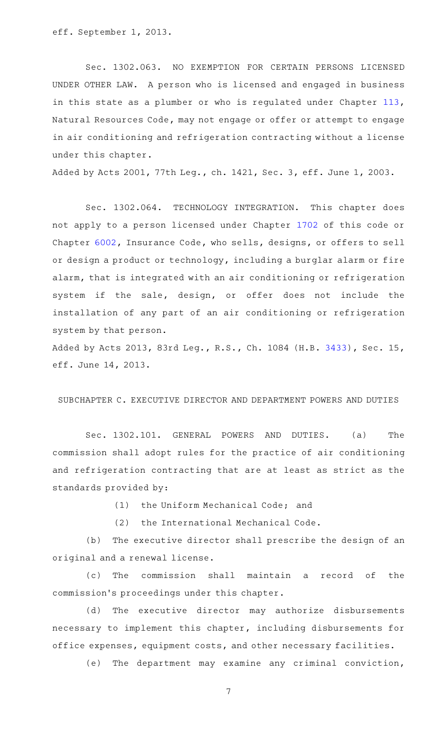eff. September 1, 2013.

Sec. 1302.063. NO EXEMPTION FOR CERTAIN PERSONS LICENSED UNDER OTHER LAW. A person who is licensed and engaged in business in this state as a plumber or who is regulated under Chapter [113](http://www.statutes.legis.state.tx.us/GetStatute.aspx?Code=NR&Value=113), Natural Resources Code, may not engage or offer or attempt to engage in air conditioning and refrigeration contracting without a license under this chapter.

Added by Acts 2001, 77th Leg., ch. 1421, Sec. 3, eff. June 1, 2003.

Sec. 1302.064. TECHNOLOGY INTEGRATION. This chapter does not apply to a person licensed under Chapter [1702](http://www.statutes.legis.state.tx.us/GetStatute.aspx?Code=OC&Value=1702) of this code or Chapter [6002,](http://www.statutes.legis.state.tx.us/GetStatute.aspx?Code=IN&Value=6002) Insurance Code, who sells, designs, or offers to sell or design a product or technology, including a burglar alarm or fire alarm, that is integrated with an air conditioning or refrigeration system if the sale, design, or offer does not include the installation of any part of an air conditioning or refrigeration system by that person.

Added by Acts 2013, 83rd Leg., R.S., Ch. 1084 (H.B. [3433](http://www.legis.state.tx.us/tlodocs/83R/billtext/html/HB03433F.HTM)), Sec. 15, eff. June 14, 2013.

# SUBCHAPTER C. EXECUTIVE DIRECTOR AND DEPARTMENT POWERS AND DUTIES

Sec. 1302.101. GENERAL POWERS AND DUTIES. (a) The commission shall adopt rules for the practice of air conditioning and refrigeration contracting that are at least as strict as the standards provided by:

(1) the Uniform Mechanical Code; and

(2) the International Mechanical Code.

(b) The executive director shall prescribe the design of an original and a renewal license.

(c) The commission shall maintain a record of the commission 's proceedings under this chapter.

(d) The executive director may authorize disbursements necessary to implement this chapter, including disbursements for office expenses, equipment costs, and other necessary facilities.

(e) The department may examine any criminal conviction,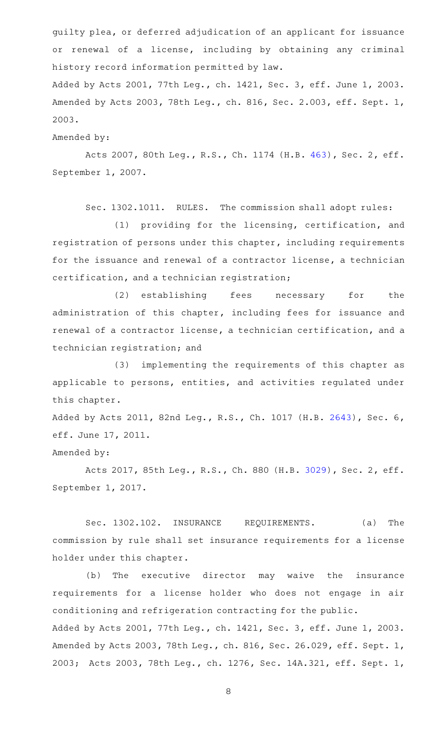guilty plea, or deferred adjudication of an applicant for issuance or renewal of a license, including by obtaining any criminal history record information permitted by law.

Added by Acts 2001, 77th Leg., ch. 1421, Sec. 3, eff. June 1, 2003. Amended by Acts 2003, 78th Leg., ch. 816, Sec. 2.003, eff. Sept. 1, 2003.

Amended by:

Acts 2007, 80th Leg., R.S., Ch. 1174 (H.B. [463](http://www.legis.state.tx.us/tlodocs/80R/billtext/html/HB00463F.HTM)), Sec. 2, eff. September 1, 2007.

Sec. 1302.1011. RULES. The commission shall adopt rules:

(1) providing for the licensing, certification, and registration of persons under this chapter, including requirements for the issuance and renewal of a contractor license, a technician certification, and a technician registration;

(2) establishing fees necessary for the administration of this chapter, including fees for issuance and renewal of a contractor license, a technician certification, and a technician registration; and

(3) implementing the requirements of this chapter as applicable to persons, entities, and activities regulated under this chapter.

Added by Acts 2011, 82nd Leg., R.S., Ch. 1017 (H.B. [2643\)](http://www.legis.state.tx.us/tlodocs/82R/billtext/html/HB02643F.HTM), Sec. 6, eff. June 17, 2011.

Amended by:

Acts 2017, 85th Leg., R.S., Ch. 880 (H.B. [3029](http://www.legis.state.tx.us/tlodocs/85R/billtext/html/HB03029F.HTM)), Sec. 2, eff. September 1, 2017.

Sec. 1302.102. INSURANCE REQUIREMENTS. (a) The commission by rule shall set insurance requirements for a license holder under this chapter.

(b) The executive director may waive the insurance requirements for a license holder who does not engage in air conditioning and refrigeration contracting for the public. Added by Acts 2001, 77th Leg., ch. 1421, Sec. 3, eff. June 1, 2003. Amended by Acts 2003, 78th Leg., ch. 816, Sec. 26.029, eff. Sept. 1, 2003; Acts 2003, 78th Leg., ch. 1276, Sec. 14A.321, eff. Sept. 1,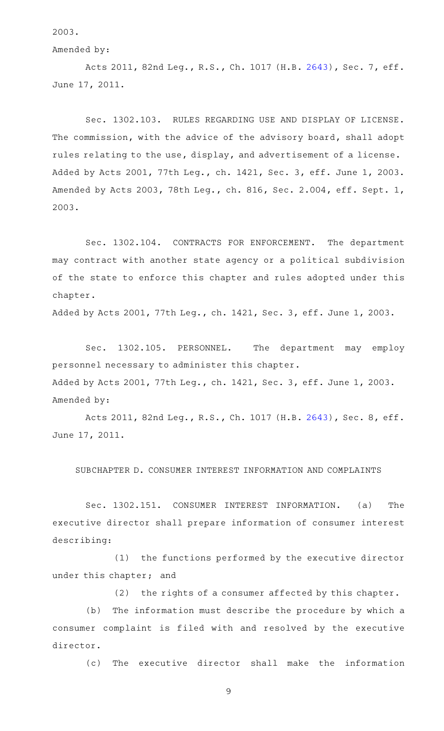2003.

Amended by:

Acts 2011, 82nd Leg., R.S., Ch. 1017 (H.B. [2643](http://www.legis.state.tx.us/tlodocs/82R/billtext/html/HB02643F.HTM)), Sec. 7, eff. June 17, 2011.

Sec. 1302.103. RULES REGARDING USE AND DISPLAY OF LICENSE. The commission, with the advice of the advisory board, shall adopt rules relating to the use, display, and advertisement of a license. Added by Acts 2001, 77th Leg., ch. 1421, Sec. 3, eff. June 1, 2003. Amended by Acts 2003, 78th Leg., ch. 816, Sec. 2.004, eff. Sept. 1, 2003.

Sec. 1302.104. CONTRACTS FOR ENFORCEMENT. The department may contract with another state agency or a political subdivision of the state to enforce this chapter and rules adopted under this chapter.

Added by Acts 2001, 77th Leg., ch. 1421, Sec. 3, eff. June 1, 2003.

Sec. 1302.105. PERSONNEL. The department may employ personnel necessary to administer this chapter. Added by Acts 2001, 77th Leg., ch. 1421, Sec. 3, eff. June 1, 2003. Amended by:

Acts 2011, 82nd Leg., R.S., Ch. 1017 (H.B. [2643](http://www.legis.state.tx.us/tlodocs/82R/billtext/html/HB02643F.HTM)), Sec. 8, eff. June 17, 2011.

SUBCHAPTER D. CONSUMER INTEREST INFORMATION AND COMPLAINTS

Sec. 1302.151. CONSUMER INTEREST INFORMATION. (a) The executive director shall prepare information of consumer interest describing:

(1) the functions performed by the executive director under this chapter; and

 $(2)$  the rights of a consumer affected by this chapter.

(b) The information must describe the procedure by which a consumer complaint is filed with and resolved by the executive director.

(c) The executive director shall make the information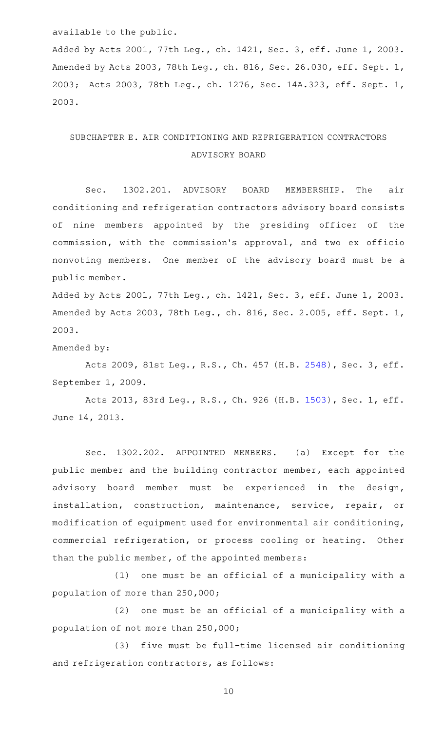### available to the public.

Added by Acts 2001, 77th Leg., ch. 1421, Sec. 3, eff. June 1, 2003. Amended by Acts 2003, 78th Leg., ch. 816, Sec. 26.030, eff. Sept. 1, 2003; Acts 2003, 78th Leg., ch. 1276, Sec. 14A.323, eff. Sept. 1, 2003.

# SUBCHAPTER E. AIR CONDITIONING AND REFRIGERATION CONTRACTORS ADVISORY BOARD

Sec. 1302.201. ADVISORY BOARD MEMBERSHIP. The air conditioning and refrigeration contractors advisory board consists of nine members appointed by the presiding officer of the commission, with the commission 's approval, and two ex officio nonvoting members. One member of the advisory board must be a public member.

Added by Acts 2001, 77th Leg., ch. 1421, Sec. 3, eff. June 1, 2003. Amended by Acts 2003, 78th Leg., ch. 816, Sec. 2.005, eff. Sept. 1, 2003.

Amended by:

Acts 2009, 81st Leg., R.S., Ch. 457 (H.B. [2548](http://www.legis.state.tx.us/tlodocs/81R/billtext/html/HB02548F.HTM)), Sec. 3, eff. September 1, 2009.

Acts 2013, 83rd Leg., R.S., Ch. 926 (H.B. [1503](http://www.legis.state.tx.us/tlodocs/83R/billtext/html/HB01503F.HTM)), Sec. 1, eff. June 14, 2013.

Sec. 1302.202. APPOINTED MEMBERS. (a) Except for the public member and the building contractor member, each appointed advisory board member must be experienced in the design, installation, construction, maintenance, service, repair, or modification of equipment used for environmental air conditioning, commercial refrigeration, or process cooling or heating. Other than the public member, of the appointed members:

 $(1)$  one must be an official of a municipality with a population of more than 250,000;

 $(2)$  one must be an official of a municipality with a population of not more than 250,000;

(3) five must be full-time licensed air conditioning and refrigeration contractors, as follows: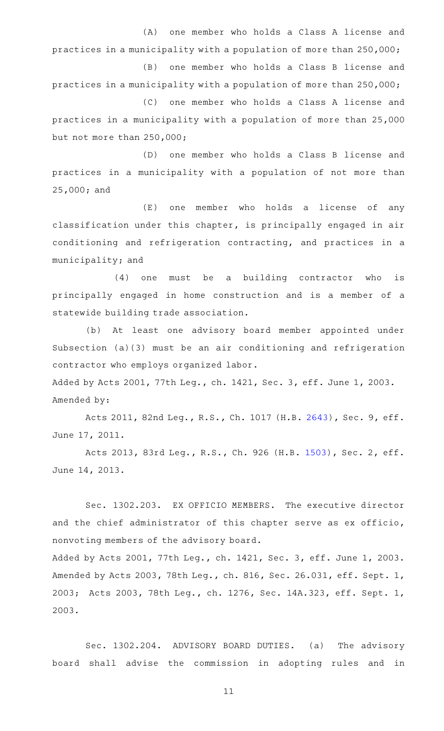(A) one member who holds a Class A license and practices in a municipality with a population of more than 250,000; (B) one member who holds a Class B license and practices in a municipality with a population of more than 250,000; (C) one member who holds a Class A license and

practices in a municipality with a population of more than 25,000 but not more than 250,000;

(D) one member who holds a Class B license and practices in a municipality with a population of not more than 25,000; and

(E) one member who holds a license of any classification under this chapter, is principally engaged in air conditioning and refrigeration contracting, and practices in a municipality; and

 $(4)$  one must be a building contractor who is principally engaged in home construction and is a member of a statewide building trade association.

(b) At least one advisory board member appointed under Subsection (a)(3) must be an air conditioning and refrigeration contractor who employs organized labor.

Added by Acts 2001, 77th Leg., ch. 1421, Sec. 3, eff. June 1, 2003. Amended by:

Acts 2011, 82nd Leg., R.S., Ch. 1017 (H.B. [2643](http://www.legis.state.tx.us/tlodocs/82R/billtext/html/HB02643F.HTM)), Sec. 9, eff. June 17, 2011.

Acts 2013, 83rd Leg., R.S., Ch. 926 (H.B. [1503](http://www.legis.state.tx.us/tlodocs/83R/billtext/html/HB01503F.HTM)), Sec. 2, eff. June 14, 2013.

Sec. 1302.203. EX OFFICIO MEMBERS. The executive director and the chief administrator of this chapter serve as ex officio, nonvoting members of the advisory board.

Added by Acts 2001, 77th Leg., ch. 1421, Sec. 3, eff. June 1, 2003. Amended by Acts 2003, 78th Leg., ch. 816, Sec. 26.031, eff. Sept. 1, 2003; Acts 2003, 78th Leg., ch. 1276, Sec. 14A.323, eff. Sept. 1, 2003.

Sec. 1302.204. ADVISORY BOARD DUTIES. (a) The advisory board shall advise the commission in adopting rules and in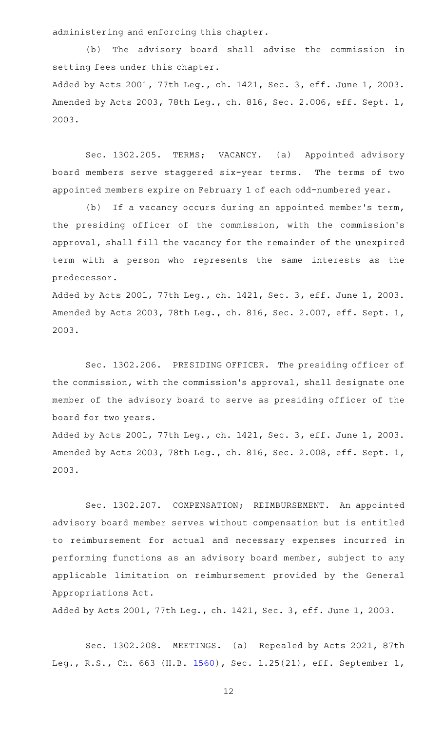administering and enforcing this chapter.

(b) The advisory board shall advise the commission in setting fees under this chapter.

Added by Acts 2001, 77th Leg., ch. 1421, Sec. 3, eff. June 1, 2003. Amended by Acts 2003, 78th Leg., ch. 816, Sec. 2.006, eff. Sept. 1, 2003.

Sec. 1302.205. TERMS; VACANCY. (a) Appointed advisory board members serve staggered six-year terms. The terms of two appointed members expire on February 1 of each odd-numbered year.

(b) If a vacancy occurs during an appointed member's term, the presiding officer of the commission, with the commission 's approval, shall fill the vacancy for the remainder of the unexpired term with a person who represents the same interests as the predecessor.

Added by Acts 2001, 77th Leg., ch. 1421, Sec. 3, eff. June 1, 2003. Amended by Acts 2003, 78th Leg., ch. 816, Sec. 2.007, eff. Sept. 1, 2003.

Sec. 1302.206. PRESIDING OFFICER. The presiding officer of the commission, with the commission 's approval, shall designate one member of the advisory board to serve as presiding officer of the board for two years.

Added by Acts 2001, 77th Leg., ch. 1421, Sec. 3, eff. June 1, 2003. Amended by Acts 2003, 78th Leg., ch. 816, Sec. 2.008, eff. Sept. 1, 2003.

Sec. 1302.207. COMPENSATION; REIMBURSEMENT. An appointed advisory board member serves without compensation but is entitled to reimbursement for actual and necessary expenses incurred in performing functions as an advisory board member, subject to any applicable limitation on reimbursement provided by the General Appropriations Act.

Added by Acts 2001, 77th Leg., ch. 1421, Sec. 3, eff. June 1, 2003.

Sec. 1302.208. MEETINGS. (a) Repealed by Acts 2021, 87th Leg., R.S., Ch. 663 (H.B. [1560](http://www.legis.state.tx.us/tlodocs/87R/billtext/html/HB01560F.HTM)), Sec. 1.25(21), eff. September 1,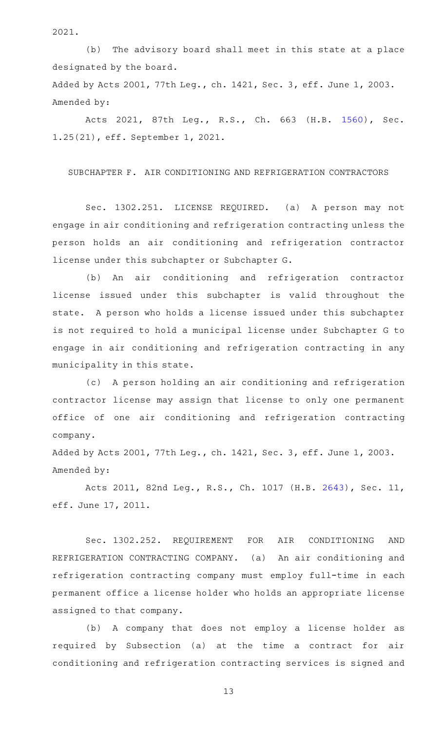2021.

(b) The advisory board shall meet in this state at a place designated by the board. Added by Acts 2001, 77th Leg., ch. 1421, Sec. 3, eff. June 1, 2003.

Amended by:

Acts 2021, 87th Leg., R.S., Ch. 663 (H.B. [1560\)](http://www.legis.state.tx.us/tlodocs/87R/billtext/html/HB01560F.HTM), Sec. 1.25(21), eff. September 1, 2021.

SUBCHAPTER F. AIR CONDITIONING AND REFRIGERATION CONTRACTORS

Sec. 1302.251. LICENSE REQUIRED. (a) A person may not engage in air conditioning and refrigeration contracting unless the person holds an air conditioning and refrigeration contractor license under this subchapter or Subchapter G.

(b) An air conditioning and refrigeration contractor license issued under this subchapter is valid throughout the state. A person who holds a license issued under this subchapter is not required to hold a municipal license under Subchapter G to engage in air conditioning and refrigeration contracting in any municipality in this state.

(c) A person holding an air conditioning and refrigeration contractor license may assign that license to only one permanent office of one air conditioning and refrigeration contracting company.

Added by Acts 2001, 77th Leg., ch. 1421, Sec. 3, eff. June 1, 2003. Amended by:

Acts 2011, 82nd Leg., R.S., Ch. 1017 (H.B. [2643](http://www.legis.state.tx.us/tlodocs/82R/billtext/html/HB02643F.HTM)), Sec. 11, eff. June 17, 2011.

Sec. 1302.252. REQUIREMENT FOR AIR CONDITIONING AND REFRIGERATION CONTRACTING COMPANY. (a) An air conditioning and refrigeration contracting company must employ full-time in each permanent office a license holder who holds an appropriate license assigned to that company.

(b) A company that does not employ a license holder as required by Subsection (a) at the time a contract for air conditioning and refrigeration contracting services is signed and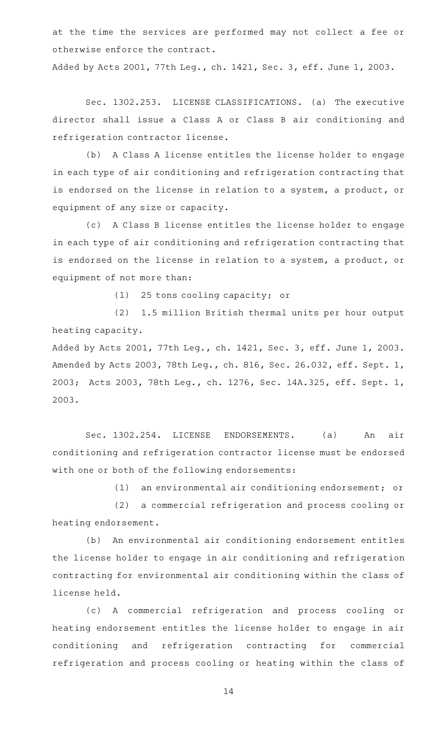at the time the services are performed may not collect a fee or otherwise enforce the contract.

Added by Acts 2001, 77th Leg., ch. 1421, Sec. 3, eff. June 1, 2003.

Sec. 1302.253. LICENSE CLASSIFICATIONS. (a) The executive director shall issue a Class A or Class B air conditioning and refrigeration contractor license.

(b) A Class A license entitles the license holder to engage in each type of air conditioning and refrigeration contracting that is endorsed on the license in relation to a system, a product, or equipment of any size or capacity.

(c) A Class B license entitles the license holder to engage in each type of air conditioning and refrigeration contracting that is endorsed on the license in relation to a system, a product, or equipment of not more than:

 $(1)$  25 tons cooling capacity; or

(2) 1.5 million British thermal units per hour output heating capacity.

Added by Acts 2001, 77th Leg., ch. 1421, Sec. 3, eff. June 1, 2003. Amended by Acts 2003, 78th Leg., ch. 816, Sec. 26.032, eff. Sept. 1, 2003; Acts 2003, 78th Leg., ch. 1276, Sec. 14A.325, eff. Sept. 1, 2003.

Sec. 1302.254. LICENSE ENDORSEMENTS. (a) An air conditioning and refrigeration contractor license must be endorsed with one or both of the following endorsements:

(1) an environmental air conditioning endorsement; or

(2) a commercial refrigeration and process cooling or heating endorsement.

(b) An environmental air conditioning endorsement entitles the license holder to engage in air conditioning and refrigeration contracting for environmental air conditioning within the class of license held.

(c)AAA commercial refrigeration and process cooling or heating endorsement entitles the license holder to engage in air conditioning and refrigeration contracting for commercial refrigeration and process cooling or heating within the class of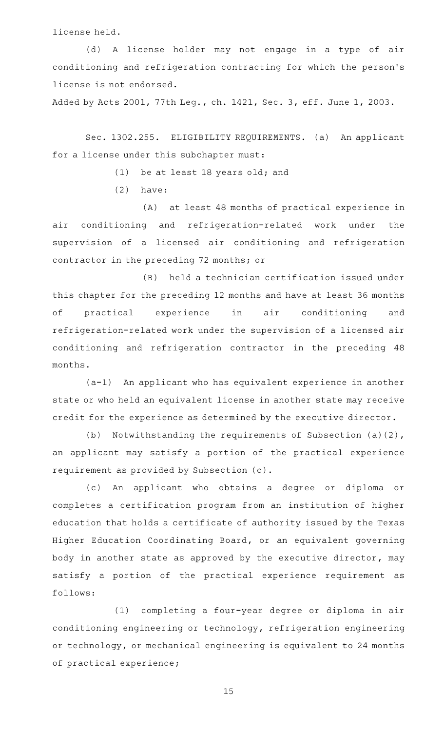license held.

(d) A license holder may not engage in a type of air conditioning and refrigeration contracting for which the person 's license is not endorsed.

Added by Acts 2001, 77th Leg., ch. 1421, Sec. 3, eff. June 1, 2003.

Sec. 1302.255. ELIGIBILITY REQUIREMENTS. (a) An applicant for a license under this subchapter must:

 $(1)$  be at least 18 years old; and

 $(2)$  have:

(A) at least 48 months of practical experience in air conditioning and refrigeration-related work under the supervision of a licensed air conditioning and refrigeration contractor in the preceding 72 months; or

(B) held a technician certification issued under this chapter for the preceding 12 months and have at least 36 months of practical experience in air conditioning and refrigeration-related work under the supervision of a licensed air conditioning and refrigeration contractor in the preceding 48 months.

 $(a-1)$  An applicant who has equivalent experience in another state or who held an equivalent license in another state may receive credit for the experience as determined by the executive director.

(b) Notwithstanding the requirements of Subsection (a)(2), an applicant may satisfy a portion of the practical experience requirement as provided by Subsection (c).

(c) An applicant who obtains a degree or diploma or completes a certification program from an institution of higher education that holds a certificate of authority issued by the Texas Higher Education Coordinating Board, or an equivalent governing body in another state as approved by the executive director, may satisfy a portion of the practical experience requirement as follows:

(1) completing a four-year degree or diploma in air conditioning engineering or technology, refrigeration engineering or technology, or mechanical engineering is equivalent to 24 months of practical experience;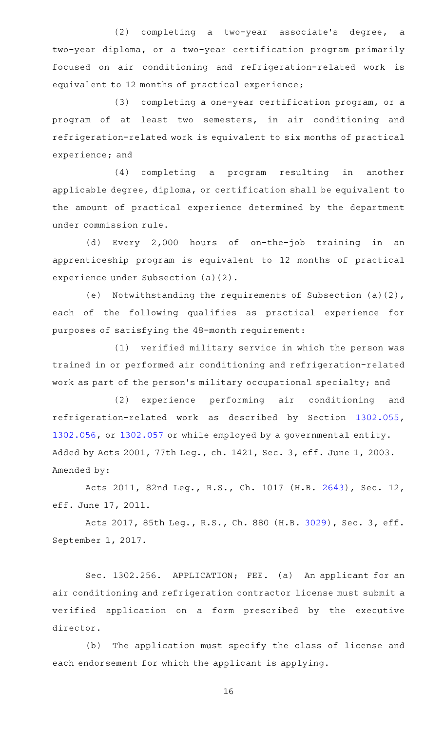$(2)$  completing a two-year associate's degree, a two-year diploma, or a two-year certification program primarily focused on air conditioning and refrigeration-related work is equivalent to 12 months of practical experience;

 $(3)$  completing a one-year certification program, or a program of at least two semesters, in air conditioning and refrigeration-related work is equivalent to six months of practical experience; and

(4) completing a program resulting in another applicable degree, diploma, or certification shall be equivalent to the amount of practical experience determined by the department under commission rule.

(d) Every 2,000 hours of on-the-job training in an apprenticeship program is equivalent to 12 months of practical experience under Subsection (a)(2).

(e) Notwithstanding the requirements of Subsection (a)(2), each of the following qualifies as practical experience for purposes of satisfying the 48-month requirement:

(1) verified military service in which the person was trained in or performed air conditioning and refrigeration-related work as part of the person 's military occupational specialty; and

(2) experience performing air conditioning and refrigeration-related work as described by Section [1302.055](http://www.statutes.legis.state.tx.us/GetStatute.aspx?Code=OC&Value=1302.055), [1302.056](http://www.statutes.legis.state.tx.us/GetStatute.aspx?Code=OC&Value=1302.056), or [1302.057](http://www.statutes.legis.state.tx.us/GetStatute.aspx?Code=OC&Value=1302.057) or while employed by a governmental entity. Added by Acts 2001, 77th Leg., ch. 1421, Sec. 3, eff. June 1, 2003. Amended by:

Acts 2011, 82nd Leg., R.S., Ch. 1017 (H.B. [2643](http://www.legis.state.tx.us/tlodocs/82R/billtext/html/HB02643F.HTM)), Sec. 12, eff. June 17, 2011.

Acts 2017, 85th Leg., R.S., Ch. 880 (H.B. [3029](http://www.legis.state.tx.us/tlodocs/85R/billtext/html/HB03029F.HTM)), Sec. 3, eff. September 1, 2017.

Sec. 1302.256. APPLICATION; FEE. (a) An applicant for an air conditioning and refrigeration contractor license must submit a verified application on a form prescribed by the executive director.

(b) The application must specify the class of license and each endorsement for which the applicant is applying.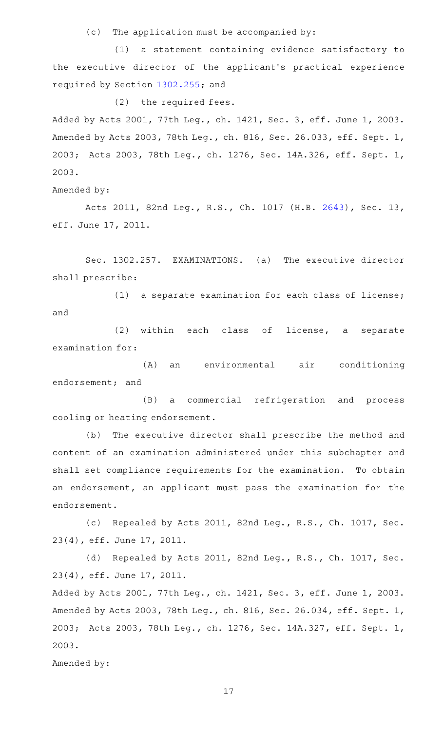$(c)$  The application must be accompanied by:

(1) a statement containing evidence satisfactory to the executive director of the applicant 's practical experience required by Section [1302.255;](http://www.statutes.legis.state.tx.us/GetStatute.aspx?Code=OC&Value=1302.255) and

 $(2)$  the required fees.

Added by Acts 2001, 77th Leg., ch. 1421, Sec. 3, eff. June 1, 2003. Amended by Acts 2003, 78th Leg., ch. 816, Sec. 26.033, eff. Sept. 1, 2003; Acts 2003, 78th Leg., ch. 1276, Sec. 14A.326, eff. Sept. 1, 2003.

Amended by:

Acts 2011, 82nd Leg., R.S., Ch. 1017 (H.B. [2643](http://www.legis.state.tx.us/tlodocs/82R/billtext/html/HB02643F.HTM)), Sec. 13, eff. June 17, 2011.

Sec. 1302.257. EXAMINATIONS. (a) The executive director shall prescribe:

 $(1)$  a separate examination for each class of license; and

(2) within each class of license, a separate examination for:

(A) an environmental air conditioning endorsement; and

(B) a commercial refrigeration and process cooling or heating endorsement.

(b) The executive director shall prescribe the method and content of an examination administered under this subchapter and shall set compliance requirements for the examination. To obtain an endorsement, an applicant must pass the examination for the endorsement.

(c) Repealed by Acts 2011, 82nd Leg., R.S., Ch. 1017, Sec. 23(4), eff. June 17, 2011.

(d) Repealed by Acts 2011, 82nd Leg., R.S., Ch. 1017, Sec. 23(4), eff. June 17, 2011.

Added by Acts 2001, 77th Leg., ch. 1421, Sec. 3, eff. June 1, 2003. Amended by Acts 2003, 78th Leg., ch. 816, Sec. 26.034, eff. Sept. 1, 2003; Acts 2003, 78th Leg., ch. 1276, Sec. 14A.327, eff. Sept. 1, 2003.

Amended by: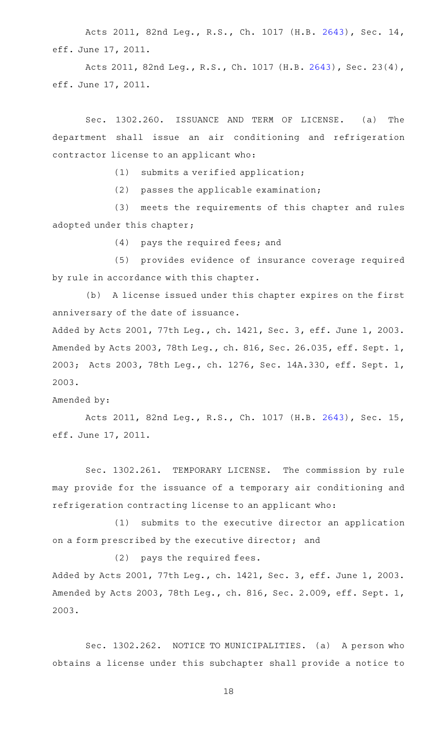Acts 2011, 82nd Leg., R.S., Ch. 1017 (H.B. [2643](http://www.legis.state.tx.us/tlodocs/82R/billtext/html/HB02643F.HTM)), Sec. 14, eff. June 17, 2011.

Acts 2011, 82nd Leg., R.S., Ch. 1017 (H.B. [2643](http://www.legis.state.tx.us/tlodocs/82R/billtext/html/HB02643F.HTM)), Sec. 23(4), eff. June 17, 2011.

Sec. 1302.260. ISSUANCE AND TERM OF LICENSE. (a) The department shall issue an air conditioning and refrigeration contractor license to an applicant who:

 $(1)$  submits a verified application;

 $(2)$  passes the applicable examination;

(3) meets the requirements of this chapter and rules adopted under this chapter;

(4) pays the required fees; and

(5) provides evidence of insurance coverage required by rule in accordance with this chapter.

(b) A license issued under this chapter expires on the first anniversary of the date of issuance.

Added by Acts 2001, 77th Leg., ch. 1421, Sec. 3, eff. June 1, 2003. Amended by Acts 2003, 78th Leg., ch. 816, Sec. 26.035, eff. Sept. 1, 2003; Acts 2003, 78th Leg., ch. 1276, Sec. 14A.330, eff. Sept. 1, 2003.

Amended by:

Acts 2011, 82nd Leg., R.S., Ch. 1017 (H.B. [2643](http://www.legis.state.tx.us/tlodocs/82R/billtext/html/HB02643F.HTM)), Sec. 15, eff. June 17, 2011.

Sec. 1302.261. TEMPORARY LICENSE. The commission by rule may provide for the issuance of a temporary air conditioning and refrigeration contracting license to an applicant who:

 $(1)$  submits to the executive director an application on a form prescribed by the executive director; and

 $(2)$  pays the required fees.

Added by Acts 2001, 77th Leg., ch. 1421, Sec. 3, eff. June 1, 2003. Amended by Acts 2003, 78th Leg., ch. 816, Sec. 2.009, eff. Sept. 1, 2003.

Sec. 1302.262. NOTICE TO MUNICIPALITIES. (a) A person who obtains a license under this subchapter shall provide a notice to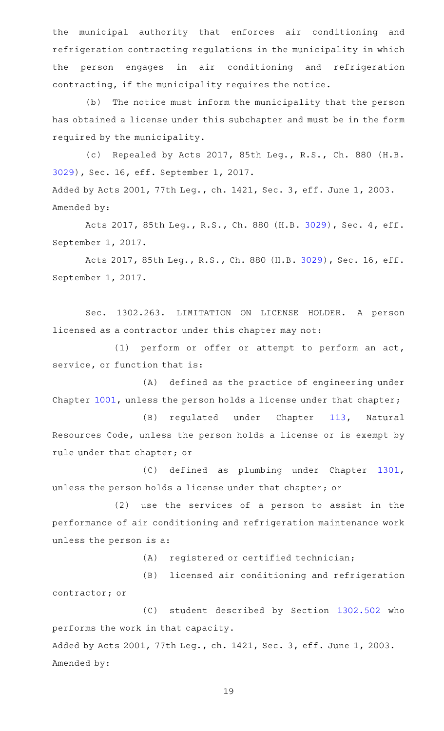the municipal authority that enforces air conditioning and refrigeration contracting regulations in the municipality in which the person engages in air conditioning and refrigeration contracting, if the municipality requires the notice.

(b) The notice must inform the municipality that the person has obtained a license under this subchapter and must be in the form required by the municipality.

(c) Repealed by Acts 2017, 85th Leg., R.S., Ch. 880 (H.B. [3029](http://www.legis.state.tx.us/tlodocs/85R/billtext/html/HB03029F.HTM)), Sec. 16, eff. September 1, 2017. Added by Acts 2001, 77th Leg., ch. 1421, Sec. 3, eff. June 1, 2003. Amended by:

Acts 2017, 85th Leg., R.S., Ch. 880 (H.B. [3029](http://www.legis.state.tx.us/tlodocs/85R/billtext/html/HB03029F.HTM)), Sec. 4, eff. September 1, 2017.

Acts 2017, 85th Leg., R.S., Ch. 880 (H.B. [3029\)](http://www.legis.state.tx.us/tlodocs/85R/billtext/html/HB03029F.HTM), Sec. 16, eff. September 1, 2017.

Sec. 1302.263. LIMITATION ON LICENSE HOLDER. A person licensed as a contractor under this chapter may not:

(1) perform or offer or attempt to perform an act, service, or function that is:

(A) defined as the practice of engineering under Chapter [1001](http://www.statutes.legis.state.tx.us/GetStatute.aspx?Code=OC&Value=1001), unless the person holds a license under that chapter;

(B) regulated under Chapter [113,](http://www.statutes.legis.state.tx.us/GetStatute.aspx?Code=NR&Value=113) Natural Resources Code, unless the person holds a license or is exempt by rule under that chapter; or

(C) defined as plumbing under Chapter [1301](http://www.statutes.legis.state.tx.us/GetStatute.aspx?Code=OC&Value=1301), unless the person holds a license under that chapter; or

 $(2)$  use the services of a person to assist in the performance of air conditioning and refrigeration maintenance work unless the person is a:

(A) registered or certified technician;

(B) licensed air conditioning and refrigeration contractor; or

(C) student described by Section [1302.502](http://www.statutes.legis.state.tx.us/GetStatute.aspx?Code=OC&Value=1302.502) who performs the work in that capacity.

Added by Acts 2001, 77th Leg., ch. 1421, Sec. 3, eff. June 1, 2003. Amended by: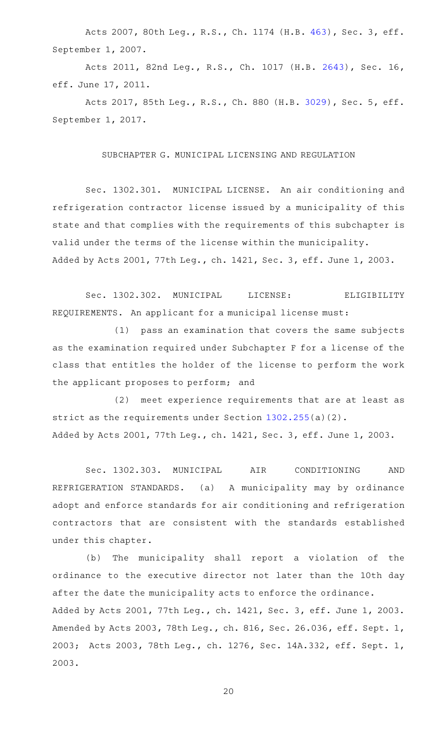Acts 2007, 80th Leg., R.S., Ch. 1174 (H.B. [463](http://www.legis.state.tx.us/tlodocs/80R/billtext/html/HB00463F.HTM)), Sec. 3, eff. September 1, 2007.

Acts 2011, 82nd Leg., R.S., Ch. 1017 (H.B. [2643](http://www.legis.state.tx.us/tlodocs/82R/billtext/html/HB02643F.HTM)), Sec. 16, eff. June 17, 2011.

Acts 2017, 85th Leg., R.S., Ch. 880 (H.B. [3029](http://www.legis.state.tx.us/tlodocs/85R/billtext/html/HB03029F.HTM)), Sec. 5, eff. September 1, 2017.

# SUBCHAPTER G. MUNICIPAL LICENSING AND REGULATION

Sec. 1302.301. MUNICIPAL LICENSE. An air conditioning and refrigeration contractor license issued by a municipality of this state and that complies with the requirements of this subchapter is valid under the terms of the license within the municipality. Added by Acts 2001, 77th Leg., ch. 1421, Sec. 3, eff. June 1, 2003.

Sec. 1302.302. MUNICIPAL LICENSE: ELIGIBILITY REQUIREMENTS. An applicant for a municipal license must:

 $(1)$  pass an examination that covers the same subjects as the examination required under Subchapter F for a license of the class that entitles the holder of the license to perform the work the applicant proposes to perform; and

(2) meet experience requirements that are at least as strict as the requirements under Section [1302.255\(](http://www.statutes.legis.state.tx.us/GetStatute.aspx?Code=OC&Value=1302.255)a)(2). Added by Acts 2001, 77th Leg., ch. 1421, Sec. 3, eff. June 1, 2003.

Sec. 1302.303. MUNICIPAL AIR CONDITIONING AND REFRIGERATION STANDARDS. (a) A municipality may by ordinance adopt and enforce standards for air conditioning and refrigeration contractors that are consistent with the standards established under this chapter.

(b) The municipality shall report a violation of the ordinance to the executive director not later than the 10th day after the date the municipality acts to enforce the ordinance. Added by Acts 2001, 77th Leg., ch. 1421, Sec. 3, eff. June 1, 2003. Amended by Acts 2003, 78th Leg., ch. 816, Sec. 26.036, eff. Sept. 1, 2003; Acts 2003, 78th Leg., ch. 1276, Sec. 14A.332, eff. Sept. 1, 2003.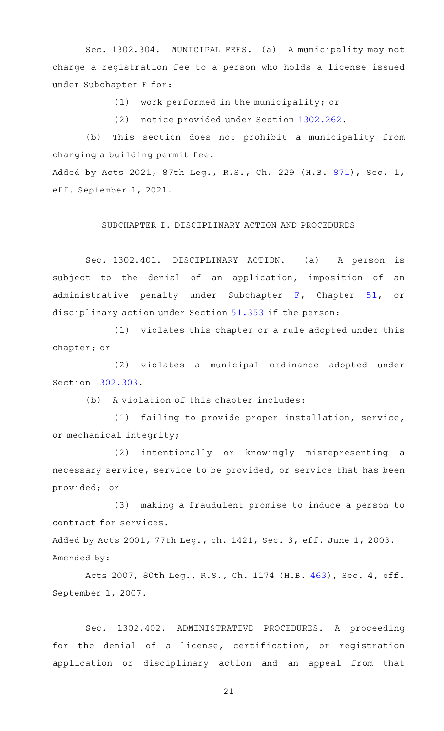Sec. 1302.304. MUNICIPAL FEES. (a) A municipality may not charge a registration fee to a person who holds a license issued under Subchapter F for:

(1) work performed in the municipality; or

(2) notice provided under Section [1302.262](http://www.statutes.legis.state.tx.us/GetStatute.aspx?Code=OC&Value=1302.262).

(b) This section does not prohibit a municipality from charging a building permit fee.

Added by Acts 2021, 87th Leg., R.S., Ch. 229 (H.B. [871](http://www.legis.state.tx.us/tlodocs/87R/billtext/html/HB00871F.HTM)), Sec. 1, eff. September 1, 2021.

### SUBCHAPTER I. DISCIPLINARY ACTION AND PROCEDURES

Sec. 1302.401. DISCIPLINARY ACTION. (a) A person is subject to the denial of an application, imposition of an administrative penalty under Subchapter [F](http://www.statutes.legis.state.tx.us/GetStatute.aspx?Code=OC&Value=51.301), Chapter [51,](http://www.statutes.legis.state.tx.us/GetStatute.aspx?Code=OC&Value=51) or disciplinary action under Section [51.353](http://www.statutes.legis.state.tx.us/GetStatute.aspx?Code=OC&Value=51.353) if the person:

 $(1)$  violates this chapter or a rule adopted under this chapter; or

(2) violates a municipal ordinance adopted under Section [1302.303](http://www.statutes.legis.state.tx.us/GetStatute.aspx?Code=OC&Value=1302.303).

(b) A violation of this chapter includes:

(1) failing to provide proper installation, service, or mechanical integrity;

(2) intentionally or knowingly misrepresenting a necessary service, service to be provided, or service that has been provided; or

(3) making a fraudulent promise to induce a person to contract for services.

Added by Acts 2001, 77th Leg., ch. 1421, Sec. 3, eff. June 1, 2003. Amended by:

Acts 2007, 80th Leg., R.S., Ch. 1174 (H.B. [463](http://www.legis.state.tx.us/tlodocs/80R/billtext/html/HB00463F.HTM)), Sec. 4, eff. September 1, 2007.

Sec. 1302.402. ADMINISTRATIVE PROCEDURES. A proceeding for the denial of a license, certification, or registration application or disciplinary action and an appeal from that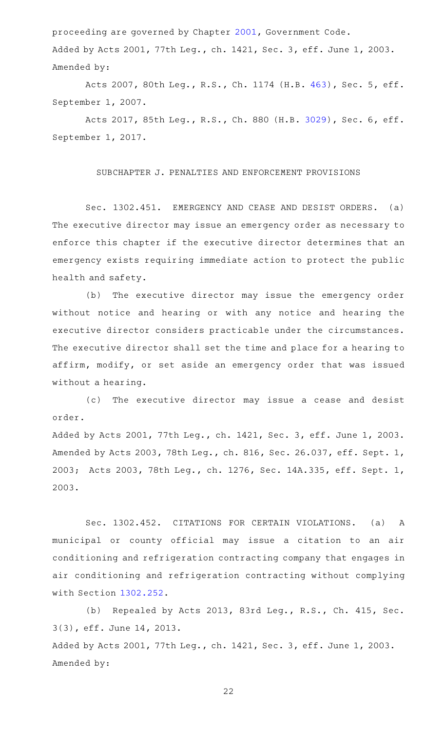proceeding are governed by Chapter [2001,](http://www.statutes.legis.state.tx.us/GetStatute.aspx?Code=GV&Value=2001) Government Code. Added by Acts 2001, 77th Leg., ch. 1421, Sec. 3, eff. June 1, 2003. Amended by:

Acts 2007, 80th Leg., R.S., Ch. 1174 (H.B. [463](http://www.legis.state.tx.us/tlodocs/80R/billtext/html/HB00463F.HTM)), Sec. 5, eff. September 1, 2007.

Acts 2017, 85th Leg., R.S., Ch. 880 (H.B. [3029](http://www.legis.state.tx.us/tlodocs/85R/billtext/html/HB03029F.HTM)), Sec. 6, eff. September 1, 2017.

#### SUBCHAPTER J. PENALTIES AND ENFORCEMENT PROVISIONS

Sec. 1302.451. EMERGENCY AND CEASE AND DESIST ORDERS. (a) The executive director may issue an emergency order as necessary to enforce this chapter if the executive director determines that an emergency exists requiring immediate action to protect the public health and safety.

(b) The executive director may issue the emergency order without notice and hearing or with any notice and hearing the executive director considers practicable under the circumstances. The executive director shall set the time and place for a hearing to affirm, modify, or set aside an emergency order that was issued without a hearing.

(c) The executive director may issue a cease and desist order.

Added by Acts 2001, 77th Leg., ch. 1421, Sec. 3, eff. June 1, 2003. Amended by Acts 2003, 78th Leg., ch. 816, Sec. 26.037, eff. Sept. 1, 2003; Acts 2003, 78th Leg., ch. 1276, Sec. 14A.335, eff. Sept. 1, 2003.

Sec. 1302.452. CITATIONS FOR CERTAIN VIOLATIONS. (a) A municipal or county official may issue a citation to an air conditioning and refrigeration contracting company that engages in air conditioning and refrigeration contracting without complying with Section [1302.252](http://www.statutes.legis.state.tx.us/GetStatute.aspx?Code=OC&Value=1302.252).

(b) Repealed by Acts 2013, 83rd Leg., R.S., Ch. 415, Sec. 3(3), eff. June 14, 2013. Added by Acts 2001, 77th Leg., ch. 1421, Sec. 3, eff. June 1, 2003. Amended by: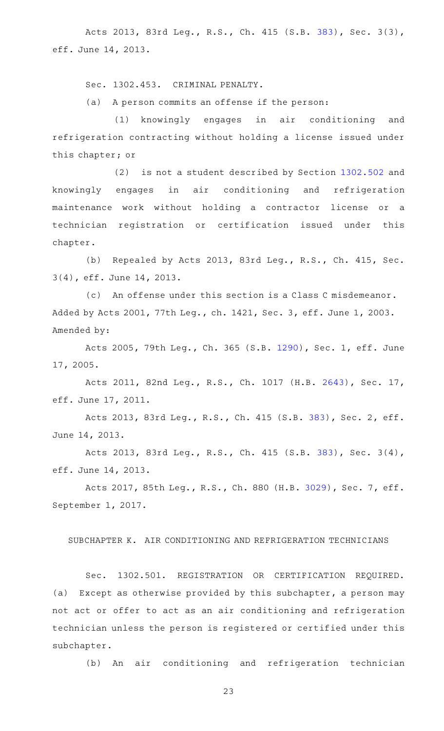Acts 2013, 83rd Leg., R.S., Ch. 415 (S.B. [383](http://www.legis.state.tx.us/tlodocs/83R/billtext/html/SB00383F.HTM)), Sec. 3(3), eff. June 14, 2013.

Sec. 1302.453. CRIMINAL PENALTY.

(a) A person commits an offense if the person:

(1) knowingly engages in air conditioning and refrigeration contracting without holding a license issued under this chapter; or

(2) is not a student described by Section  $1302.502$  and knowingly engages in air conditioning and refrigeration maintenance work without holding a contractor license or a technician registration or certification issued under this chapter.

(b) Repealed by Acts 2013, 83rd Leg., R.S., Ch. 415, Sec. 3(4), eff. June 14, 2013.

(c) An offense under this section is a Class C misdemeanor. Added by Acts 2001, 77th Leg., ch. 1421, Sec. 3, eff. June 1, 2003. Amended by:

Acts 2005, 79th Leg., Ch. 365 (S.B. [1290\)](http://www.legis.state.tx.us/tlodocs/79R/billtext/html/SB01290F.HTM), Sec. 1, eff. June 17, 2005.

Acts 2011, 82nd Leg., R.S., Ch. 1017 (H.B. [2643](http://www.legis.state.tx.us/tlodocs/82R/billtext/html/HB02643F.HTM)), Sec. 17, eff. June 17, 2011.

Acts 2013, 83rd Leg., R.S., Ch. 415 (S.B. [383](http://www.legis.state.tx.us/tlodocs/83R/billtext/html/SB00383F.HTM)), Sec. 2, eff. June 14, 2013.

Acts 2013, 83rd Leg., R.S., Ch. 415 (S.B. [383](http://www.legis.state.tx.us/tlodocs/83R/billtext/html/SB00383F.HTM)), Sec. 3(4), eff. June 14, 2013.

Acts 2017, 85th Leg., R.S., Ch. 880 (H.B. [3029](http://www.legis.state.tx.us/tlodocs/85R/billtext/html/HB03029F.HTM)), Sec. 7, eff. September 1, 2017.

# SUBCHAPTER K. AIR CONDITIONING AND REFRIGERATION TECHNICIANS

Sec. 1302.501. REGISTRATION OR CERTIFICATION REQUIRED. (a) Except as otherwise provided by this subchapter, a person may not act or offer to act as an air conditioning and refrigeration technician unless the person is registered or certified under this subchapter.

(b) An air conditioning and refrigeration technician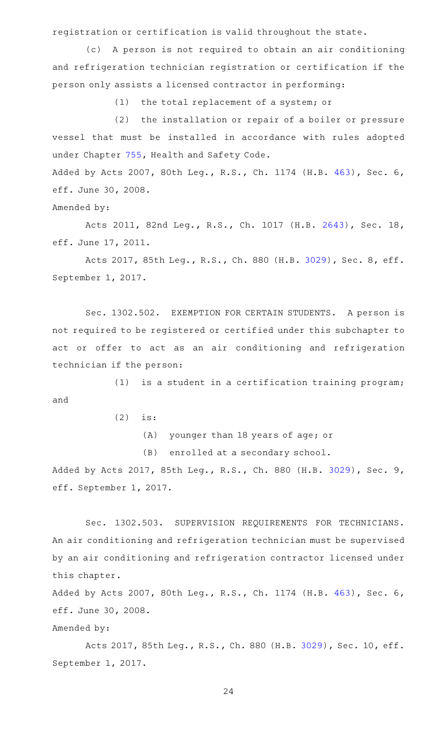registration or certification is valid throughout the state.

(c) A person is not required to obtain an air conditioning and refrigeration technician registration or certification if the person only assists a licensed contractor in performing:

(1) the total replacement of a system; or

(2) the installation or repair of a boiler or pressure vessel that must be installed in accordance with rules adopted under Chapter [755](http://www.statutes.legis.state.tx.us/GetStatute.aspx?Code=HS&Value=755), Health and Safety Code.

Added by Acts 2007, 80th Leg., R.S., Ch. 1174 (H.B. [463](http://www.legis.state.tx.us/tlodocs/80R/billtext/html/HB00463F.HTM)), Sec. 6, eff. June 30, 2008.

Amended by:

Acts 2011, 82nd Leg., R.S., Ch. 1017 (H.B. [2643](http://www.legis.state.tx.us/tlodocs/82R/billtext/html/HB02643F.HTM)), Sec. 18, eff. June 17, 2011.

Acts 2017, 85th Leg., R.S., Ch. 880 (H.B. [3029](http://www.legis.state.tx.us/tlodocs/85R/billtext/html/HB03029F.HTM)), Sec. 8, eff. September 1, 2017.

Sec. 1302.502. EXEMPTION FOR CERTAIN STUDENTS. A person is not required to be registered or certified under this subchapter to act or offer to act as an air conditioning and refrigeration technician if the person:

 $(1)$  is a student in a certification training program; and

 $(2)$  is:

(A) younger than 18 years of age; or

(B) enrolled at a secondary school.

Added by Acts 2017, 85th Leg., R.S., Ch. 880 (H.B. [3029](http://www.legis.state.tx.us/tlodocs/85R/billtext/html/HB03029F.HTM)), Sec. 9, eff. September 1, 2017.

Sec. 1302.503. SUPERVISION REQUIREMENTS FOR TECHNICIANS. An air conditioning and refrigeration technician must be supervised by an air conditioning and refrigeration contractor licensed under this chapter.

Added by Acts 2007, 80th Leg., R.S., Ch. 1174 (H.B. [463](http://www.legis.state.tx.us/tlodocs/80R/billtext/html/HB00463F.HTM)), Sec. 6, eff. June 30, 2008.

Amended by:

Acts 2017, 85th Leg., R.S., Ch. 880 (H.B. [3029\)](http://www.legis.state.tx.us/tlodocs/85R/billtext/html/HB03029F.HTM), Sec. 10, eff. September 1, 2017.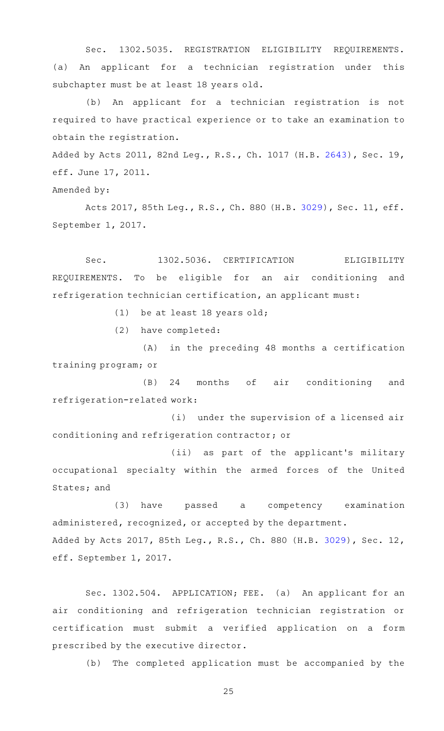Sec. 1302.5035. REGISTRATION ELIGIBILITY REQUIREMENTS. (a) An applicant for a technician registration under this subchapter must be at least 18 years old.

(b) An applicant for a technician registration is not required to have practical experience or to take an examination to obtain the registration.

Added by Acts 2011, 82nd Leg., R.S., Ch. 1017 (H.B. [2643](http://www.legis.state.tx.us/tlodocs/82R/billtext/html/HB02643F.HTM)), Sec. 19, eff. June 17, 2011.

Amended by:

Acts 2017, 85th Leg., R.S., Ch. 880 (H.B. [3029\)](http://www.legis.state.tx.us/tlodocs/85R/billtext/html/HB03029F.HTM), Sec. 11, eff. September 1, 2017.

Sec. 1302.5036. CERTIFICATION ELIGIBILITY REQUIREMENTS. To be eligible for an air conditioning and refrigeration technician certification, an applicant must:

(1) be at least 18 years old;

(2) have completed:

(A) in the preceding 48 months a certification training program; or

(B) 24 months of air conditioning and refrigeration-related work:

(i) under the supervision of a licensed air conditioning and refrigeration contractor; or

(ii) as part of the applicant's military occupational specialty within the armed forces of the United States; and

(3) have passed a competency examination administered, recognized, or accepted by the department. Added by Acts 2017, 85th Leg., R.S., Ch. 880 (H.B. [3029\)](http://www.legis.state.tx.us/tlodocs/85R/billtext/html/HB03029F.HTM), Sec. 12, eff. September 1, 2017.

Sec. 1302.504. APPLICATION; FEE. (a) An applicant for an air conditioning and refrigeration technician registration or certification must submit a verified application on a form prescribed by the executive director.

(b) The completed application must be accompanied by the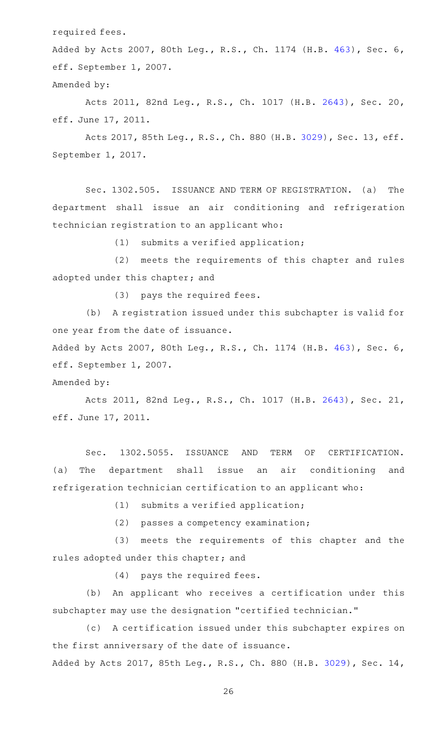required fees.

Added by Acts 2007, 80th Leg., R.S., Ch. 1174 (H.B. [463](http://www.legis.state.tx.us/tlodocs/80R/billtext/html/HB00463F.HTM)), Sec. 6, eff. September 1, 2007.

Amended by:

Acts 2011, 82nd Leg., R.S., Ch. 1017 (H.B. [2643](http://www.legis.state.tx.us/tlodocs/82R/billtext/html/HB02643F.HTM)), Sec. 20, eff. June 17, 2011.

Acts 2017, 85th Leg., R.S., Ch. 880 (H.B. [3029\)](http://www.legis.state.tx.us/tlodocs/85R/billtext/html/HB03029F.HTM), Sec. 13, eff. September 1, 2017.

Sec. 1302.505. ISSUANCE AND TERM OF REGISTRATION. (a) The department shall issue an air conditioning and refrigeration technician registration to an applicant who:

 $(1)$  submits a verified application;

(2) meets the requirements of this chapter and rules adopted under this chapter; and

(3) pays the required fees.

(b) A registration issued under this subchapter is valid for one year from the date of issuance.

Added by Acts 2007, 80th Leg., R.S., Ch. 1174 (H.B. [463](http://www.legis.state.tx.us/tlodocs/80R/billtext/html/HB00463F.HTM)), Sec. 6, eff. September 1, 2007.

Amended by:

Acts 2011, 82nd Leg., R.S., Ch. 1017 (H.B. [2643](http://www.legis.state.tx.us/tlodocs/82R/billtext/html/HB02643F.HTM)), Sec. 21, eff. June 17, 2011.

Sec. 1302.5055. ISSUANCE AND TERM OF CERTIFICATION. (a) The department shall issue an air conditioning and refrigeration technician certification to an applicant who:

 $(1)$  submits a verified application;

(2) passes a competency examination;

(3) meets the requirements of this chapter and the rules adopted under this chapter; and

(4) pays the required fees.

(b) An applicant who receives a certification under this subchapter may use the designation "certified technician."

(c) A certification issued under this subchapter expires on the first anniversary of the date of issuance.

Added by Acts 2017, 85th Leg., R.S., Ch. 880 (H.B. [3029\)](http://www.legis.state.tx.us/tlodocs/85R/billtext/html/HB03029F.HTM), Sec. 14,